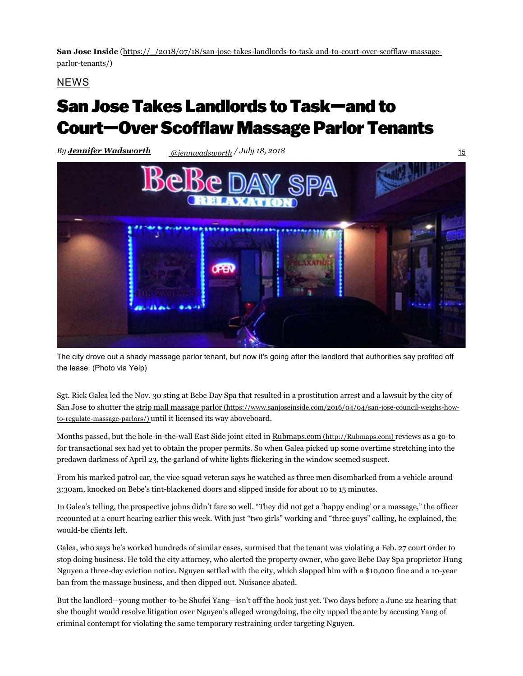**San Jose Inside** (https://\_/2018/07/18/san-jose-takes-landlords-to-task-and-to-court-over-scofflaw-massageparlor-tenants/)

NEWS

## San Jose Takes Landlords to Task—and to Court—Over Scofflaw Massage Parlor Tenants

*By Jennifer Wadsworth @jennwadsworth* 15 */ July 18, 2018*



The city drove out a shady massage parlor tenant, but now it's going after the landlord that authorities say profited off the lease. (Photo via Yelp)

Sgt. Rick Galea led the Nov. 30 sting at Bebe Day Spa that resulted in a prostitution arrest and a lawsuit by the city of San Jose to shutter the strip mall massage parlor (https://www.sanjoseinside.com/2016/04/04/san-jose-council-weighs-howto-regulate-massage-parlors/) until it licensed its way aboveboard.

Months passed, but the hole-in-the-wall East Side joint cited in Rubmaps.com (http://Rubmaps.com) reviews as a go-to for transactional sex had yet to obtain the proper permits. So when Galea picked up some overtime stretching into the predawn darkness of April 23, the garland of white lights flickering in the window seemed suspect.

From his marked patrol car, the vice squad veteran says he watched as three men disembarked from a vehicle around 3:30am, knocked on Bebe's tint-blackened doors and slipped inside for about 10 to 15 minutes.

In Galea's telling, the prospective johns didn't fare so well. "They did not get a 'happy ending' or a massage," the officer recounted at a court hearing earlier this week. With just "two girls" working and "three guys" calling, he explained, the would-be clients left.

Galea, who says he's worked hundreds of similar cases, surmised that the tenant was violating a Feb. 27 court order to stop doing business. He told the city attorney, who alerted the property owner, who gave Bebe Day Spa proprietor Hung Nguyen a three-day eviction notice. Nguyen settled with the city, which slapped him with a \$10,000 fine and a 10-year ban from the massage business, and then dipped out. Nuisance abated.

But the landlord—young mother-to-be Shufei Yang—isn't off the hook just yet. Two days before a June 22 hearing that she thought would resolve litigation over Nguyen's alleged wrongdoing, the city upped the ante by accusing Yang of criminal contempt for violating the same temporary restraining order targeting Nguyen.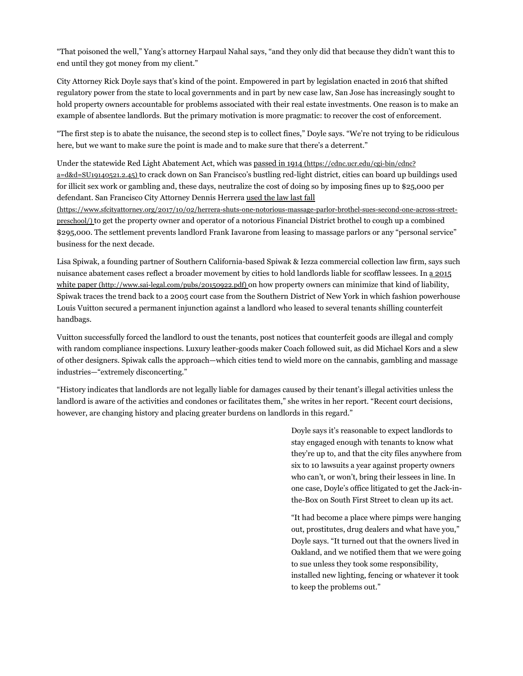"That poisoned the well," Yang's attorney Harpaul Nahal says, "and they only did that because they didn't want this to end until they got money from my client."

City Attorney Rick Doyle says that's kind of the point. Empowered in part by legislation enacted in 2016 that shifted regulatory power from the state to local governments and in part by new case law, San Jose has increasingly sought to hold property owners accountable for problems associated with their real estate investments. One reason is to make an example of absentee landlords. But the primary motivation is more pragmatic: to recover the cost of enforcement.

"The first step is to abate the nuisance, the second step is to collect fines," Doyle says. "We're not trying to be ridiculous here, but we want to make sure the point is made and to make sure that there's a deterrent."

Under the statewide Red Light Abatement Act, which was passed in 1914 (https://cdnc.ucr.edu/cgi-bin/cdnc? a=d&d=SU19140521.2.45) to crack down on San Francisco's bustling red-light district, cities can board up buildings used for illicit sex work or gambling and, these days, neutralize the cost of doing so by imposing fines up to \$25,000 per defendant. San Francisco City Attorney Dennis Herrera used the law last fall

(https://www.sfcityattorney.org/2017/10/02/herrera-shuts-one-notorious-massage-parlor-brothel-sues-second-one-across-streetpreschool/) to get the property owner and operator of a notorious Financial District brothel to cough up a combined \$295,000. The settlement prevents landlord Frank Iavarone from leasing to massage parlors or any "personal service" business for the next decade.

Lisa Spiwak, a founding partner of Southern California-based Spiwak & Iezza commercial collection law firm, says such nuisance abatement cases reflect a broader movement by cities to hold landlords liable for scofflaw lessees. In a 2015 white paper (http://www.sai-legal.com/pubs/20150922.pdf) on how property owners can minimize that kind of liability, Spiwak traces the trend back to a 2005 court case from the Southern District of New York in which fashion powerhouse Louis Vuitton secured a permanent injunction against a landlord who leased to several tenants shilling counterfeit handbags.

Vuitton successfully forced the landlord to oust the tenants, post notices that counterfeit goods are illegal and comply with random compliance inspections. Luxury leather-goods maker Coach followed suit, as did Michael Kors and a slew of other designers. Spiwak calls the approach—which cities tend to wield more on the cannabis, gambling and massage industries—"extremely disconcerting."

"History indicates that landlords are not legally liable for damages caused by their tenant's illegal activities unless the landlord is aware of the activities and condones or facilitates them," she writes in her report. "Recent court decisions, however, are changing history and placing greater burdens on landlords in this regard."

> Doyle says it's reasonable to expect landlords to stay engaged enough with tenants to know what they're up to, and that the city files anywhere from six to 10 lawsuits a year against property owners who can't, or won't, bring their lessees in line. In one case, Doyle's office litigated to get the Jack-inthe-Box on South First Street to clean up its act.

> "It had become a place where pimps were hanging out, prostitutes, drug dealers and what have you," Doyle says. "It turned out that the owners lived in Oakland, and we notified them that we were going to sue unless they took some responsibility, installed new lighting, fencing or whatever it took to keep the problems out."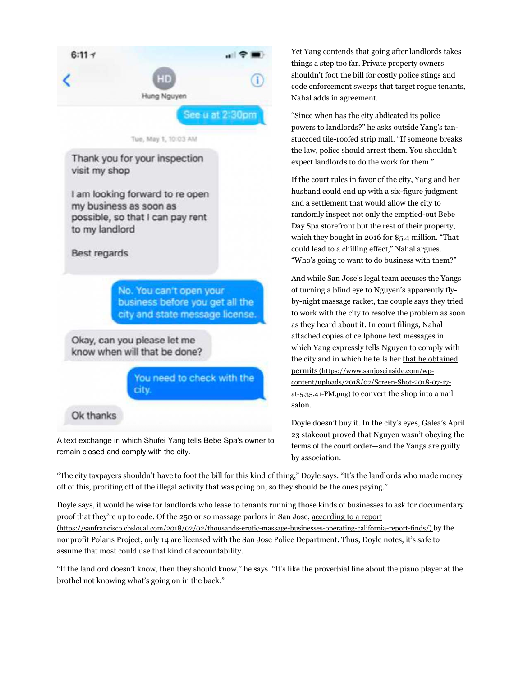

A text exchange in which Shufei Yang tells Bebe Spa's owner to remain closed and comply with the city.

Yet Yang contends that going after landlords takes things a step too far. Private property owners shouldn't foot the bill for costly police stings and code enforcement sweeps that target rogue tenants, Nahal adds in agreement.

"Since when has the city abdicated its police powers to landlords?" he asks outside Yang's tanstuccoed tile-roofed strip mall. "If someone breaks the law, police should arrest them. You shouldn't expect landlords to do the work for them."

If the court rules in favor of the city, Yang and her husband could end up with a six-figure judgment and a settlement that would allow the city to randomly inspect not only the emptied-out Bebe Day Spa storefront but the rest of their property, which they bought in 2016 for \$5.4 million. "That could lead to a chilling effect," Nahal argues. "Who's going to want to do business with them?"

And while San Jose's legal team accuses the Yangs of turning a blind eye to Nguyen's apparently flyby-night massage racket, the couple says they tried to work with the city to resolve the problem as soon as they heard about it. In court filings, Nahal attached copies of cellphone text messages in which Yang expressly tells Nguyen to comply with the city and in which he tells her that he obtained permits (https://www.sanjoseinside.com/wpcontent/uploads/2018/07/Screen-Shot-2018-07-17 at-5.35.41-PM.png) to convert the shop into a nail salon.

Doyle doesn't buy it. In the city's eyes, Galea's April 23 stakeout proved that Nguyen wasn't obeying the terms of the court order—and the Yangs are guilty by association.

"The city taxpayers shouldn't have to foot the bill for this kind of thing," Doyle says. "It's the landlords who made money off of this, profiting off of the illegal activity that was going on, so they should be the ones paying."

Doyle says, it would be wise for landlords who lease to tenants running those kinds of businesses to ask for documentary proof that they're up to code. Of the 250 or so massage parlors in San Jose, according to a report (https://sanfrancisco.cbslocal.com/2018/02/02/thousands-erotic-massage-businesses-operating-california-report-finds/) by the nonprofit Polaris Project, only 14 are licensed with the San Jose Police Department. Thus, Doyle notes, it's safe to assume that most could use that kind of accountability.

"If the landlord doesn't know, then they should know," he says. "It's like the proverbial line about the piano player at the brothel not knowing what's going on in the back."